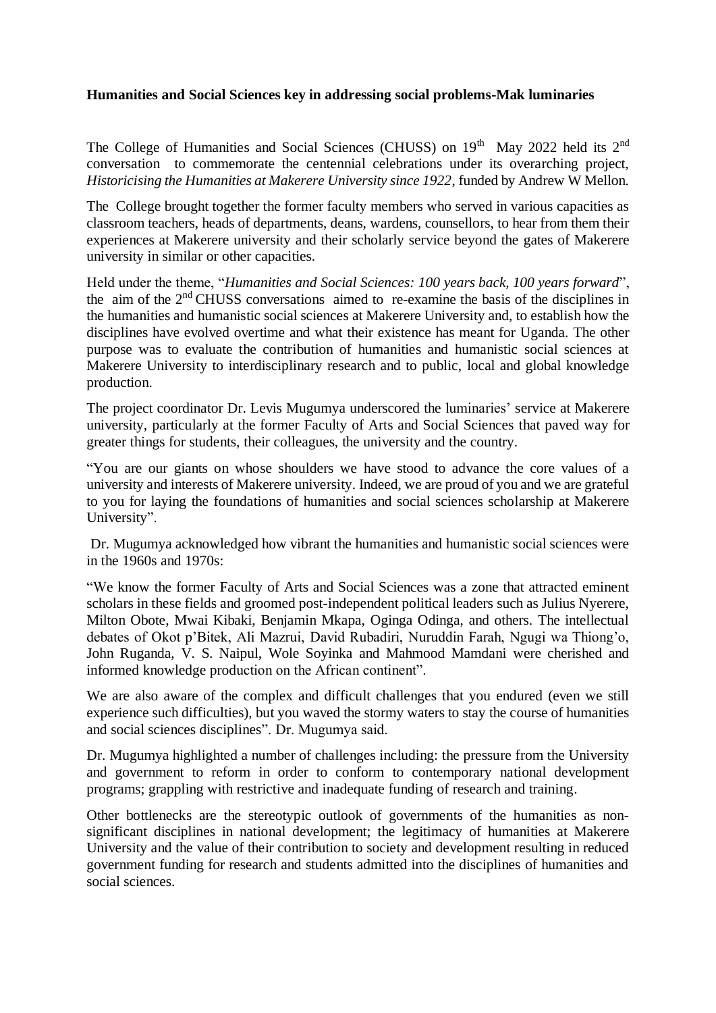## **Humanities and Social Sciences key in addressing social problems-Mak luminaries**

The College of Humanities and Social Sciences (CHUSS) on  $19<sup>th</sup>$  May 2022 held its  $2<sup>nd</sup>$ conversation to commemorate the centennial celebrations under its overarching project, *Historicising the Humanities at Makerere University since 1922*, funded by Andrew W Mellon.

The College brought together the former faculty members who served in various capacities as classroom teachers, heads of departments, deans, wardens, counsellors, to hear from them their experiences at Makerere university and their scholarly service beyond the gates of Makerere university in similar or other capacities.

Held under the theme, "*Humanities and Social Sciences: 100 years back, 100 years forward*", the aim of the 2nd CHUSS conversations aimed to re-examine the basis of the disciplines in the humanities and humanistic social sciences at Makerere University and, to establish how the disciplines have evolved overtime and what their existence has meant for Uganda. The other purpose was to evaluate the contribution of humanities and humanistic social sciences at Makerere University to interdisciplinary research and to public, local and global knowledge production.

The project coordinator Dr. Levis Mugumya underscored the luminaries' service at Makerere university, particularly at the former Faculty of Arts and Social Sciences that paved way for greater things for students, their colleagues, the university and the country.

"You are our giants on whose shoulders we have stood to advance the core values of a university and interests of Makerere university. Indeed, we are proud of you and we are grateful to you for laying the foundations of humanities and social sciences scholarship at Makerere University".

Dr. Mugumya acknowledged how vibrant the humanities and humanistic social sciences were in the 1960s and 1970s:

"We know the former Faculty of Arts and Social Sciences was a zone that attracted eminent scholars in these fields and groomed post-independent political leaders such as Julius Nyerere, Milton Obote, Mwai Kibaki, Benjamin Mkapa, Oginga Odinga, and others. The intellectual debates of Okot p'Bitek, Ali Mazrui, David Rubadiri, Nuruddin Farah, Ngugi wa Thiong'o, John Ruganda, V. S. Naipul, Wole Soyinka and Mahmood Mamdani were cherished and informed knowledge production on the African continent".

We are also aware of the complex and difficult challenges that you endured (even we still experience such difficulties), but you waved the stormy waters to stay the course of humanities and social sciences disciplines". Dr. Mugumya said.

Dr. Mugumya highlighted a number of challenges including: the pressure from the University and government to reform in order to conform to contemporary national development programs; grappling with restrictive and inadequate funding of research and training.

Other bottlenecks are the stereotypic outlook of governments of the humanities as nonsignificant disciplines in national development; the legitimacy of humanities at Makerere University and the value of their contribution to society and development resulting in reduced government funding for research and students admitted into the disciplines of humanities and social sciences.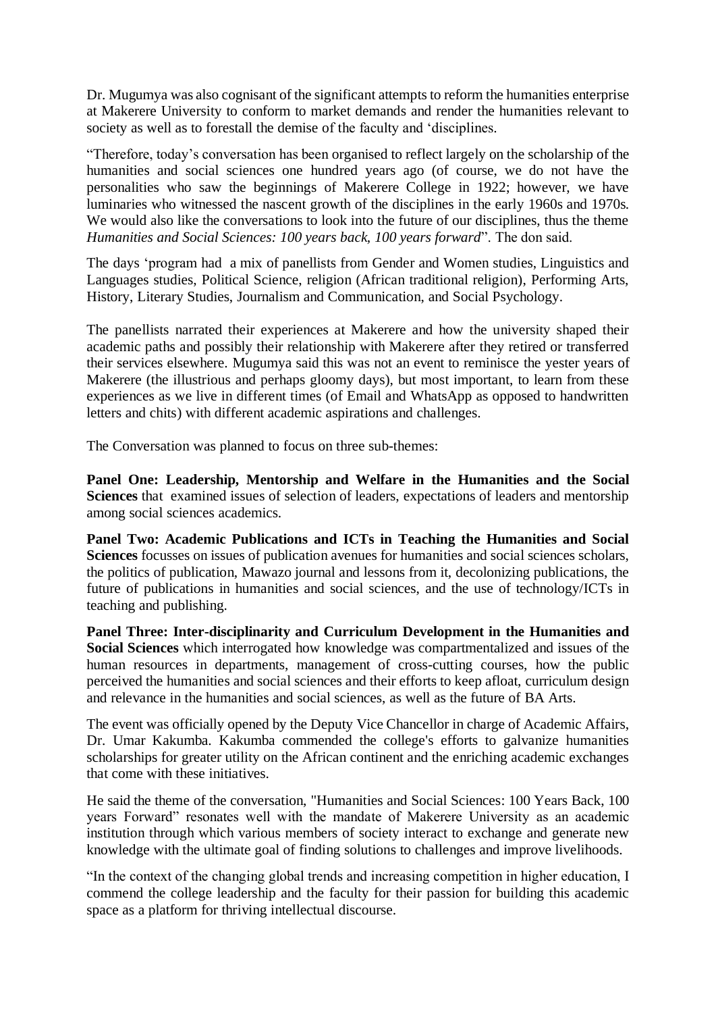Dr. Mugumya was also cognisant of the significant attempts to reform the humanities enterprise at Makerere University to conform to market demands and render the humanities relevant to society as well as to forestall the demise of the faculty and 'disciplines.

"Therefore, today's conversation has been organised to reflect largely on the scholarship of the humanities and social sciences one hundred years ago (of course, we do not have the personalities who saw the beginnings of Makerere College in 1922; however, we have luminaries who witnessed the nascent growth of the disciplines in the early 1960s and 1970s. We would also like the conversations to look into the future of our disciplines, thus the theme *Humanities and Social Sciences: 100 years back, 100 years forward*". The don said.

The days 'program had a mix of panellists from Gender and Women studies, Linguistics and Languages studies, Political Science, religion (African traditional religion), Performing Arts, History, Literary Studies, Journalism and Communication, and Social Psychology.

The panellists narrated their experiences at Makerere and how the university shaped their academic paths and possibly their relationship with Makerere after they retired or transferred their services elsewhere. Mugumya said this was not an event to reminisce the yester years of Makerere (the illustrious and perhaps gloomy days), but most important, to learn from these experiences as we live in different times (of Email and WhatsApp as opposed to handwritten letters and chits) with different academic aspirations and challenges.

The Conversation was planned to focus on three sub-themes:

**Panel One: Leadership, Mentorship and Welfare in the Humanities and the Social Sciences** that examined issues of selection of leaders, expectations of leaders and mentorship among social sciences academics.

**Panel Two: Academic Publications and ICTs in Teaching the Humanities and Social Sciences** focusses on issues of publication avenues for humanities and social sciences scholars, the politics of publication, Mawazo journal and lessons from it, decolonizing publications, the future of publications in humanities and social sciences, and the use of technology/ICTs in teaching and publishing.

**Panel Three: Inter-disciplinarity and Curriculum Development in the Humanities and Social Sciences** which interrogated how knowledge was compartmentalized and issues of the human resources in departments, management of cross-cutting courses, how the public perceived the humanities and social sciences and their efforts to keep afloat, curriculum design and relevance in the humanities and social sciences, as well as the future of BA Arts.

The event was officially opened by the Deputy Vice Chancellor in charge of Academic Affairs, Dr. Umar Kakumba. Kakumba commended the college's efforts to galvanize humanities scholarships for greater utility on the African continent and the enriching academic exchanges that come with these initiatives.

He said the theme of the conversation, "Humanities and Social Sciences: 100 Years Back, 100 years Forward" resonates well with the mandate of Makerere University as an academic institution through which various members of society interact to exchange and generate new knowledge with the ultimate goal of finding solutions to challenges and improve livelihoods.

"In the context of the changing global trends and increasing competition in higher education, I commend the college leadership and the faculty for their passion for building this academic space as a platform for thriving intellectual discourse.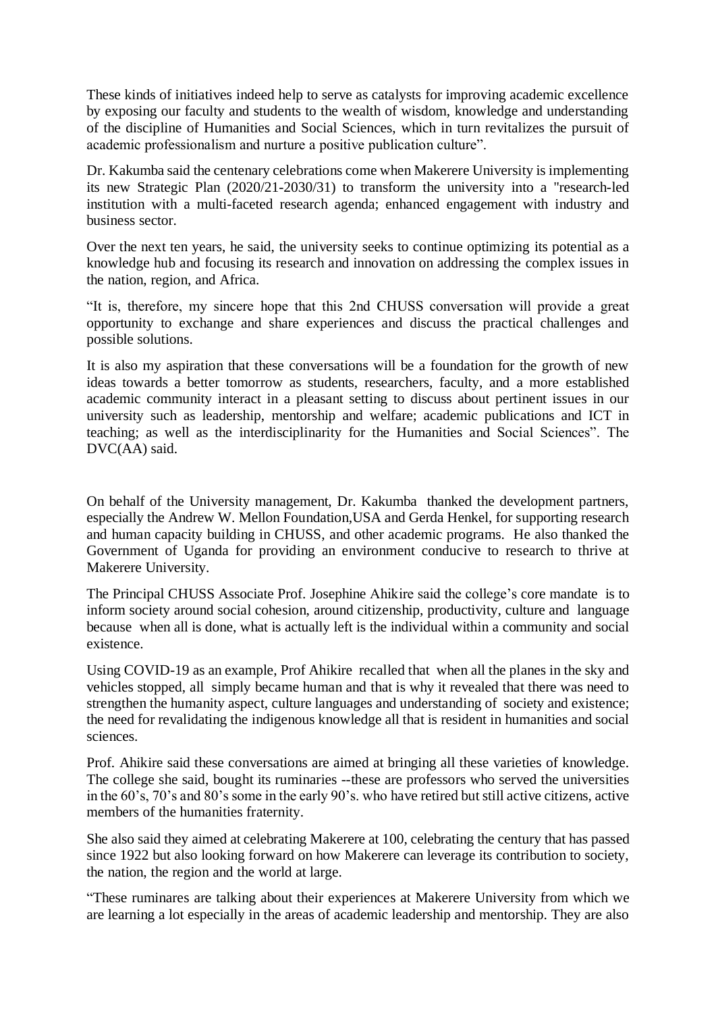These kinds of initiatives indeed help to serve as catalysts for improving academic excellence by exposing our faculty and students to the wealth of wisdom, knowledge and understanding of the discipline of Humanities and Social Sciences, which in turn revitalizes the pursuit of academic professionalism and nurture a positive publication culture".

Dr. Kakumba said the centenary celebrations come when Makerere University is implementing its new Strategic Plan (2020/21-2030/31) to transform the university into a "research-led institution with a multi-faceted research agenda; enhanced engagement with industry and business sector.

Over the next ten years, he said, the university seeks to continue optimizing its potential as a knowledge hub and focusing its research and innovation on addressing the complex issues in the nation, region, and Africa.

"It is, therefore, my sincere hope that this 2nd CHUSS conversation will provide a great opportunity to exchange and share experiences and discuss the practical challenges and possible solutions.

It is also my aspiration that these conversations will be a foundation for the growth of new ideas towards a better tomorrow as students, researchers, faculty, and a more established academic community interact in a pleasant setting to discuss about pertinent issues in our university such as leadership, mentorship and welfare; academic publications and ICT in teaching; as well as the interdisciplinarity for the Humanities and Social Sciences". The DVC(AA) said.

On behalf of the University management, Dr. Kakumba thanked the development partners, especially the Andrew W. Mellon Foundation,USA and Gerda Henkel, for supporting research and human capacity building in CHUSS, and other academic programs. He also thanked the Government of Uganda for providing an environment conducive to research to thrive at Makerere University.

The Principal CHUSS Associate Prof. Josephine Ahikire said the college's core mandate is to inform society around social cohesion, around citizenship, productivity, culture and language because when all is done, what is actually left is the individual within a community and social existence.

Using COVID-19 as an example, Prof Ahikire recalled that when all the planes in the sky and vehicles stopped, all simply became human and that is why it revealed that there was need to strengthen the humanity aspect, culture languages and understanding of society and existence; the need for revalidating the indigenous knowledge all that is resident in humanities and social sciences.

Prof. Ahikire said these conversations are aimed at bringing all these varieties of knowledge. The college she said, bought its ruminaries --these are professors who served the universities in the 60's, 70's and 80's some in the early 90's. who have retired but still active citizens, active members of the humanities fraternity.

She also said they aimed at celebrating Makerere at 100, celebrating the century that has passed since 1922 but also looking forward on how Makerere can leverage its contribution to society, the nation, the region and the world at large.

"These ruminares are talking about their experiences at Makerere University from which we are learning a lot especially in the areas of academic leadership and mentorship. They are also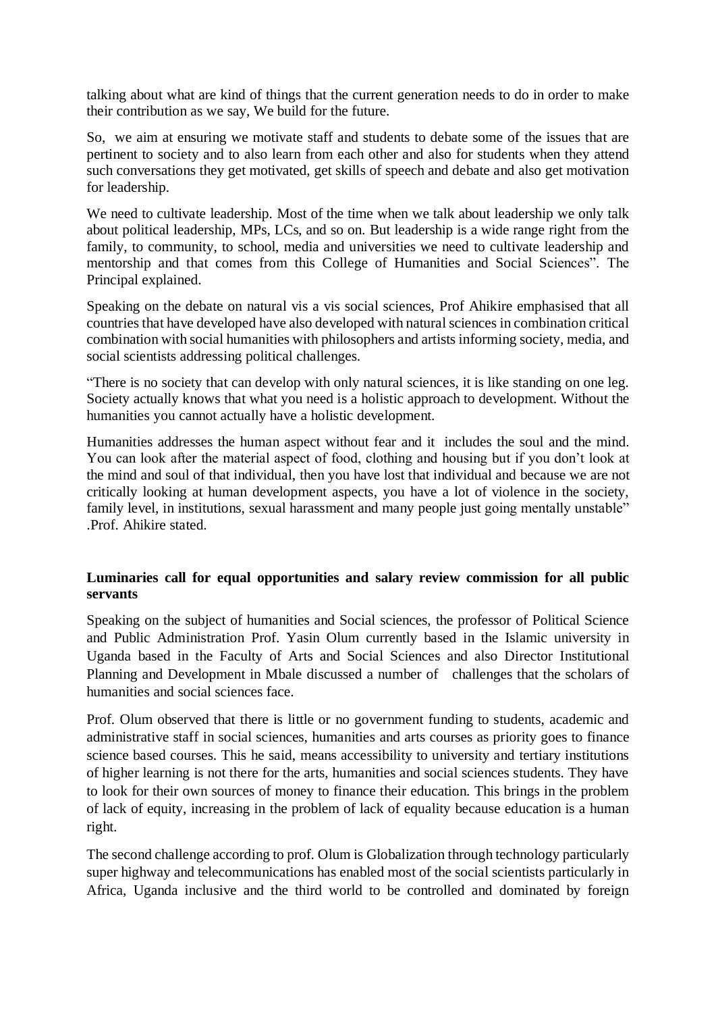talking about what are kind of things that the current generation needs to do in order to make their contribution as we say, We build for the future.

So, we aim at ensuring we motivate staff and students to debate some of the issues that are pertinent to society and to also learn from each other and also for students when they attend such conversations they get motivated, get skills of speech and debate and also get motivation for leadership.

We need to cultivate leadership. Most of the time when we talk about leadership we only talk about political leadership, MPs, LCs, and so on. But leadership is a wide range right from the family, to community, to school, media and universities we need to cultivate leadership and mentorship and that comes from this College of Humanities and Social Sciences". The Principal explained.

Speaking on the debate on natural vis a vis social sciences, Prof Ahikire emphasised that all countries that have developed have also developed with natural sciences in combination critical combination with social humanities with philosophers and artists informing society, media, and social scientists addressing political challenges.

"There is no society that can develop with only natural sciences, it is like standing on one leg. Society actually knows that what you need is a holistic approach to development. Without the humanities you cannot actually have a holistic development.

Humanities addresses the human aspect without fear and it includes the soul and the mind. You can look after the material aspect of food, clothing and housing but if you don't look at the mind and soul of that individual, then you have lost that individual and because we are not critically looking at human development aspects, you have a lot of violence in the society, family level, in institutions, sexual harassment and many people just going mentally unstable" .Prof. Ahikire stated.

## **Luminaries call for equal opportunities and salary review commission for all public servants**

Speaking on the subject of humanities and Social sciences, the professor of Political Science and Public Administration Prof. Yasin Olum currently based in the Islamic university in Uganda based in the Faculty of Arts and Social Sciences and also Director Institutional Planning and Development in Mbale discussed a number of challenges that the scholars of humanities and social sciences face.

Prof. Olum observed that there is little or no government funding to students, academic and administrative staff in social sciences, humanities and arts courses as priority goes to finance science based courses. This he said, means accessibility to university and tertiary institutions of higher learning is not there for the arts, humanities and social sciences students. They have to look for their own sources of money to finance their education. This brings in the problem of lack of equity, increasing in the problem of lack of equality because education is a human right.

The second challenge according to prof. Olum is Globalization through technology particularly super highway and telecommunications has enabled most of the social scientists particularly in Africa, Uganda inclusive and the third world to be controlled and dominated by foreign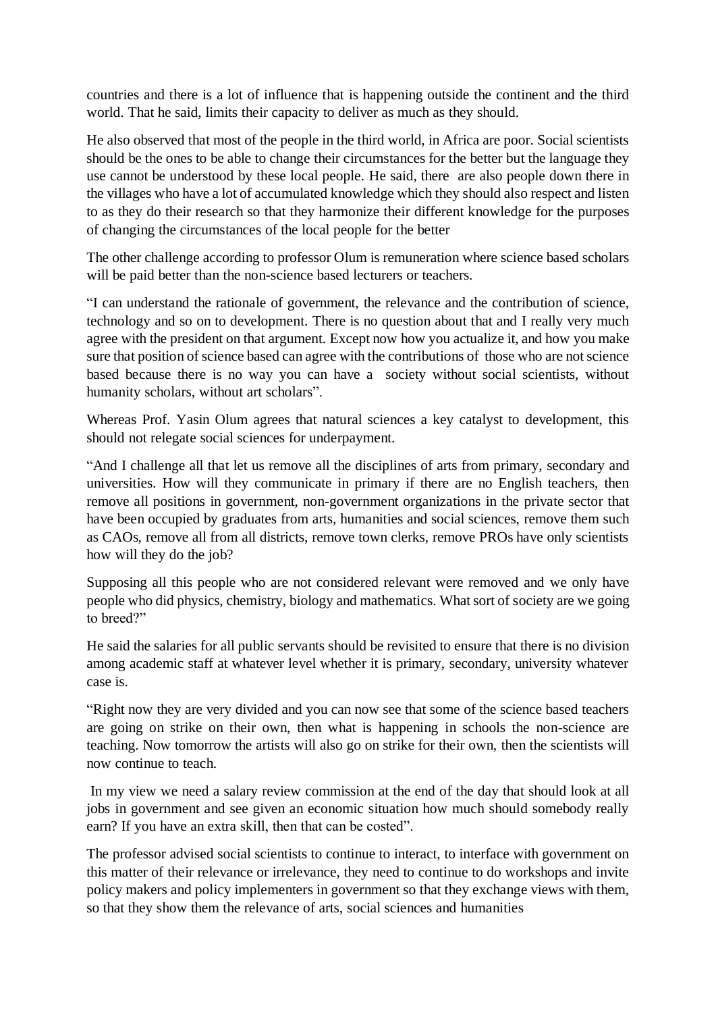countries and there is a lot of influence that is happening outside the continent and the third world. That he said, limits their capacity to deliver as much as they should.

He also observed that most of the people in the third world, in Africa are poor. Social scientists should be the ones to be able to change their circumstances for the better but the language they use cannot be understood by these local people. He said, there are also people down there in the villages who have a lot of accumulated knowledge which they should also respect and listen to as they do their research so that they harmonize their different knowledge for the purposes of changing the circumstances of the local people for the better

The other challenge according to professor Olum is remuneration where science based scholars will be paid better than the non-science based lecturers or teachers.

"I can understand the rationale of government, the relevance and the contribution of science, technology and so on to development. There is no question about that and I really very much agree with the president on that argument. Except now how you actualize it, and how you make sure that position of science based can agree with the contributions of those who are not science based because there is no way you can have a society without social scientists, without humanity scholars, without art scholars".

Whereas Prof. Yasin Olum agrees that natural sciences a key catalyst to development, this should not relegate social sciences for underpayment.

"And I challenge all that let us remove all the disciplines of arts from primary, secondary and universities. How will they communicate in primary if there are no English teachers, then remove all positions in government, non-government organizations in the private sector that have been occupied by graduates from arts, humanities and social sciences, remove them such as CAOs, remove all from all districts, remove town clerks, remove PROs have only scientists how will they do the job?

Supposing all this people who are not considered relevant were removed and we only have people who did physics, chemistry, biology and mathematics. What sort of society are we going to breed?"

He said the salaries for all public servants should be revisited to ensure that there is no division among academic staff at whatever level whether it is primary, secondary, university whatever case is.

"Right now they are very divided and you can now see that some of the science based teachers are going on strike on their own, then what is happening in schools the non-science are teaching. Now tomorrow the artists will also go on strike for their own, then the scientists will now continue to teach.

In my view we need a salary review commission at the end of the day that should look at all jobs in government and see given an economic situation how much should somebody really earn? If you have an extra skill, then that can be costed".

The professor advised social scientists to continue to interact, to interface with government on this matter of their relevance or irrelevance, they need to continue to do workshops and invite policy makers and policy implementers in government so that they exchange views with them, so that they show them the relevance of arts, social sciences and humanities